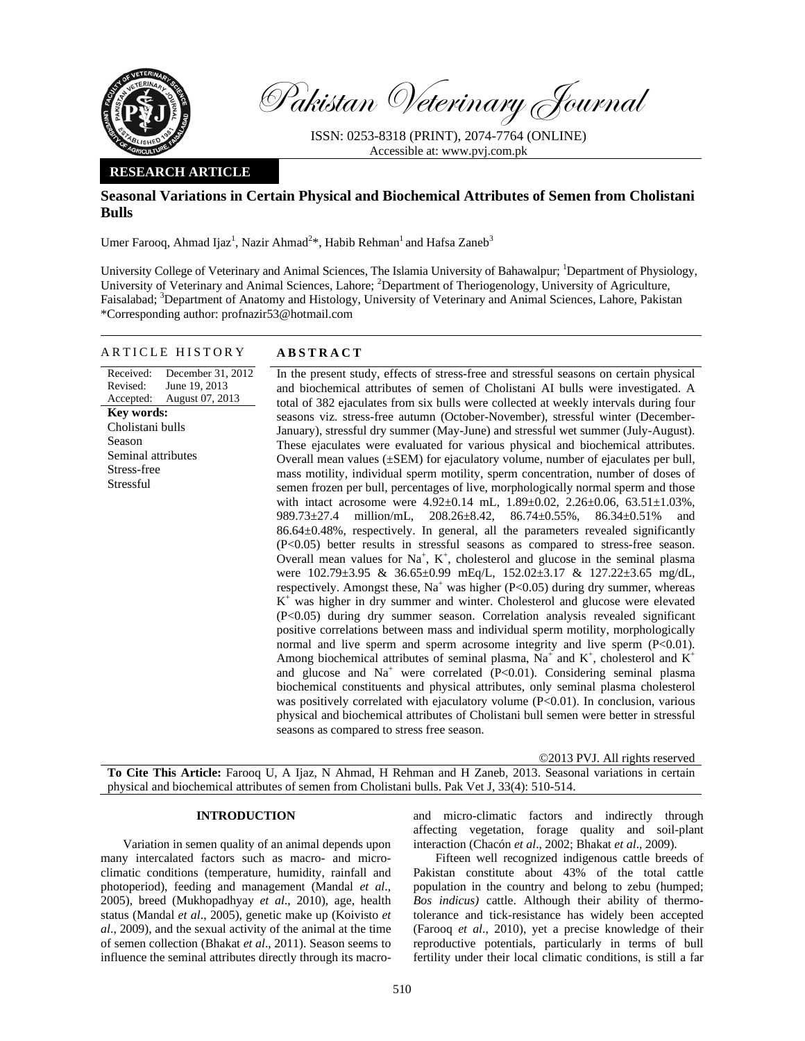

Pakistan Veterinary Journal

ISSN: 0253-8318 (PRINT), 2074-7764 (ONLINE) Accessible at: www.pvj.com.pk

## **RESEARCH ARTICLE**

# **Seasonal Variations in Certain Physical and Biochemical Attributes of Semen from Cholistani Bulls**

Umer Farooq, Ahmad Ijaz<sup>1</sup>, Nazir Ahmad<sup>2\*</sup>, Habib Rehman<sup>1</sup> and Hafsa Zaneb<sup>3</sup>

University College of Veterinary and Animal Sciences, The Islamia University of Bahawalpur; <sup>1</sup>Department of Physiology, University of Veterinary and Animal Sciences, Lahore; <sup>2</sup>Department of Theriogenology, University of Agriculture, Faisalabad; <sup>3</sup>Department of Anatomy and Histology, University of Veterinary and Animal Sciences, Lahore, Pakistan \*Corresponding author: profnazir53@hotmail.com

### ARTICLE HISTORY **ABSTRACT**

Received: Revised: Accepted: December 31, 2012 June 19, 2013 August 07, 2013 **Key words:**  Cholistani bulls Season Seminal attributes Stress-free Stressful

 In the present study, effects of stress-free and stressful seasons on certain physical and biochemical attributes of semen of Cholistani AI bulls were investigated. A total of 382 ejaculates from six bulls were collected at weekly intervals during four seasons viz. stress-free autumn (October-November), stressful winter (December-January), stressful dry summer (May-June) and stressful wet summer (July-August). These ejaculates were evaluated for various physical and biochemical attributes. Overall mean values (±SEM) for ejaculatory volume, number of ejaculates per bull, mass motility, individual sperm motility, sperm concentration, number of doses of semen frozen per bull, percentages of live, morphologically normal sperm and those with intact acrosome were  $4.92 \pm 0.14$  mL,  $1.89 \pm 0.02$ ,  $2.26 \pm 0.06$ ,  $63.51 \pm 1.03\%$ , 989.73±27.4 million/mL, 208.26±8.42, 86.74±0.55%, 86.34±0.51% and 86.64±0.48%, respectively. In general, all the parameters revealed significantly (P<0.05) better results in stressful seasons as compared to stress-free season. Overall mean values for  $Na^+$ ,  $K^+$ , cholesterol and glucose in the seminal plasma were 102.79±3.95 & 36.65±0.99 mEq/L, 152.02±3.17 & 127.22±3.65 mg/dL, respectively. Amongst these,  $Na<sup>+</sup>$  was higher (P<0.05) during dry summer, whereas K<sup>+</sup> was higher in dry summer and winter. Cholesterol and glucose were elevated (P<0.05) during dry summer season. Correlation analysis revealed significant positive correlations between mass and individual sperm motility, morphologically normal and live sperm and sperm acrosome integrity and live sperm  $(P<0.01)$ . Among biochemical attributes of seminal plasma,  $Na^+$  and  $K^+$ , cholesterol and  $K^+$ and glucose and Na<sup>+</sup> were correlated (P<0.01). Considering seminal plasma biochemical constituents and physical attributes, only seminal plasma cholesterol was positively correlated with ejaculatory volume (P<0.01). In conclusion, various physical and biochemical attributes of Cholistani bull semen were better in stressful seasons as compared to stress free season.

©2013 PVJ. All rights reserved

**To Cite This Article:** Farooq U, A Ijaz, N Ahmad, H Rehman and H Zaneb, 2013. Seasonal variations in certain physical and biochemical attributes of semen from Cholistani bulls. Pak Vet J, 33(4): 510-514.

## **INTRODUCTION**

Variation in semen quality of an animal depends upon many intercalated factors such as macro- and microclimatic conditions (temperature, humidity, rainfall and photoperiod), feeding and management (Mandal *et al*., 2005), breed (Mukhopadhyay *et al*., 2010), age, health status (Mandal *et al*., 2005), genetic make up (Koivisto *et al*., 2009), and the sexual activity of the animal at the time of semen collection (Bhakat *et al*., 2011). Season seems to influence the seminal attributes directly through its macroand micro-climatic factors and indirectly through affecting vegetation, forage quality and soil-plant interaction (Chacón *et al*., 2002; Bhakat *et al*., 2009).

Fifteen well recognized indigenous cattle breeds of Pakistan constitute about 43% of the total cattle population in the country and belong to zebu (humped; *Bos indicus)* cattle. Although their ability of thermotolerance and tick-resistance has widely been accepted (Farooq *et al*., 2010), yet a precise knowledge of their reproductive potentials, particularly in terms of bull fertility under their local climatic conditions, is still a far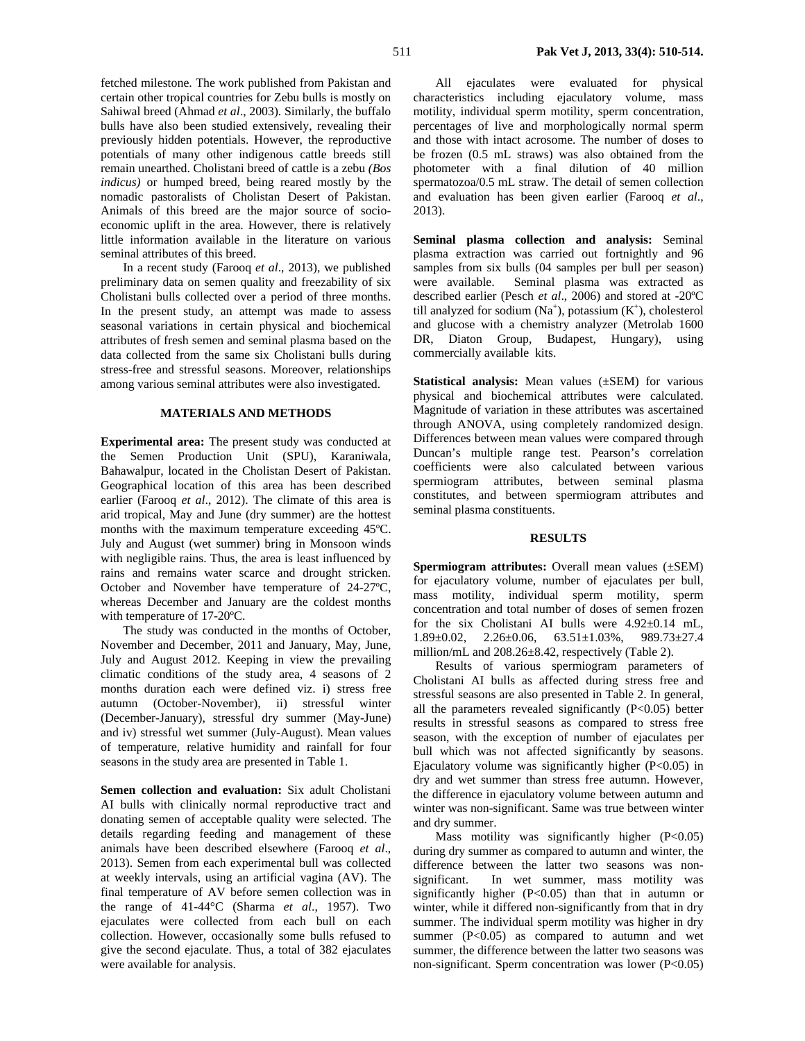fetched milestone. The work published from Pakistan and certain other tropical countries for Zebu bulls is mostly on Sahiwal breed (Ahmad *et al*., 2003). Similarly, the buffalo bulls have also been studied extensively, revealing their previously hidden potentials. However, the reproductive potentials of many other indigenous cattle breeds still remain unearthed. Cholistani breed of cattle is a zebu *(Bos indicus)* or humped breed, being reared mostly by the nomadic pastoralists of Cholistan Desert of Pakistan. Animals of this breed are the major source of socioeconomic uplift in the area. However, there is relatively little information available in the literature on various seminal attributes of this breed.

In a recent study (Farooq *et al*., 2013), we published preliminary data on semen quality and freezability of six Cholistani bulls collected over a period of three months. In the present study, an attempt was made to assess seasonal variations in certain physical and biochemical attributes of fresh semen and seminal plasma based on the data collected from the same six Cholistani bulls during stress-free and stressful seasons. Moreover, relationships among various seminal attributes were also investigated.

# **MATERIALS AND METHODS**

**Experimental area:** The present study was conducted at the Semen Production Unit (SPU), Karaniwala, Bahawalpur, located in the Cholistan Desert of Pakistan. Geographical location of this area has been described earlier (Farooq *et al*., 2012). The climate of this area is arid tropical, May and June (dry summer) are the hottest months with the maximum temperature exceeding 45ºC. July and August (wet summer) bring in Monsoon winds with negligible rains. Thus, the area is least influenced by rains and remains water scarce and drought stricken. October and November have temperature of 24-27ºC, whereas December and January are the coldest months with temperature of 17-20ºC.

The study was conducted in the months of October, November and December, 2011 and January, May, June, July and August 2012. Keeping in view the prevailing climatic conditions of the study area, 4 seasons of 2 months duration each were defined viz. i) stress free autumn (October-November), ii) stressful winter (December-January), stressful dry summer (May-June) and iv) stressful wet summer (July-August). Mean values of temperature, relative humidity and rainfall for four seasons in the study area are presented in Table 1.

**Semen collection and evaluation:** Six adult Cholistani AI bulls with clinically normal reproductive tract and donating semen of acceptable quality were selected. The details regarding feeding and management of these animals have been described elsewhere (Farooq *et al*., 2013). Semen from each experimental bull was collected at weekly intervals, using an artificial vagina (AV). The final temperature of AV before semen collection was in the range of 41-44°C (Sharma *et al*., 1957). Two ejaculates were collected from each bull on each collection. However, occasionally some bulls refused to give the second ejaculate. Thus, a total of 382 ejaculates were available for analysis.

All ejaculates were evaluated for physical characteristics including ejaculatory volume, mass motility, individual sperm motility, sperm concentration, percentages of live and morphologically normal sperm and those with intact acrosome. The number of doses to be frozen (0.5 mL straws) was also obtained from the photometer with a final dilution of 40 million spermatozoa/0.5 mL straw. The detail of semen collection and evaluation has been given earlier (Farooq *et al*., 2013).

**Seminal plasma collection and analysis:** Seminal plasma extraction was carried out fortnightly and 96 samples from six bulls (04 samples per bull per season) were available. Seminal plasma was extracted as described earlier (Pesch *et al*., 2006) and stored at -20ºC till analyzed for sodium  $(Na^+)$ , potassium  $(K^+)$ , cholesterol and glucose with a chemistry analyzer (Metrolab 1600 DR, Diaton Group, Budapest, Hungary), using commercially available kits.

**Statistical analysis:** Mean values ( $\pm$ SEM) for various physical and biochemical attributes were calculated. Magnitude of variation in these attributes was ascertained through ANOVA, using completely randomized design. Differences between mean values were compared through Duncan's multiple range test. Pearson's correlation coefficients were also calculated between various spermiogram attributes, between seminal plasma constitutes, and between spermiogram attributes and seminal plasma constituents.

#### **RESULTS**

**Spermiogram attributes:** Overall mean values ( $\pm$ SEM) for ejaculatory volume, number of ejaculates per bull, mass motility, individual sperm motility, sperm concentration and total number of doses of semen frozen for the six Cholistani AI bulls were 4.92±0.14 mL, 1.89 $\pm$ 0.02, 2.26 $\pm$ 0.06, 63.51 $\pm$ 1.03%, 989.73 $\pm$ 27.4 million/mL and 208.26±8.42, respectively (Table 2).

Results of various spermiogram parameters of Cholistani AI bulls as affected during stress free and stressful seasons are also presented in Table 2. In general, all the parameters revealed significantly  $(P<0.05)$  better results in stressful seasons as compared to stress free season, with the exception of number of ejaculates per bull which was not affected significantly by seasons. Ejaculatory volume was significantly higher (P<0.05) in dry and wet summer than stress free autumn. However, the difference in ejaculatory volume between autumn and winter was non-significant. Same was true between winter and dry summer.

Mass motility was significantly higher  $(P<0.05)$ during dry summer as compared to autumn and winter, the difference between the latter two seasons was nonsignificant. In wet summer, mass motility was significantly higher  $(P<0.05)$  than that in autumn or winter, while it differed non-significantly from that in dry summer. The individual sperm motility was higher in dry summer  $(P<0.05)$  as compared to autumn and wet summer, the difference between the latter two seasons was non-significant. Sperm concentration was lower (P<0.05)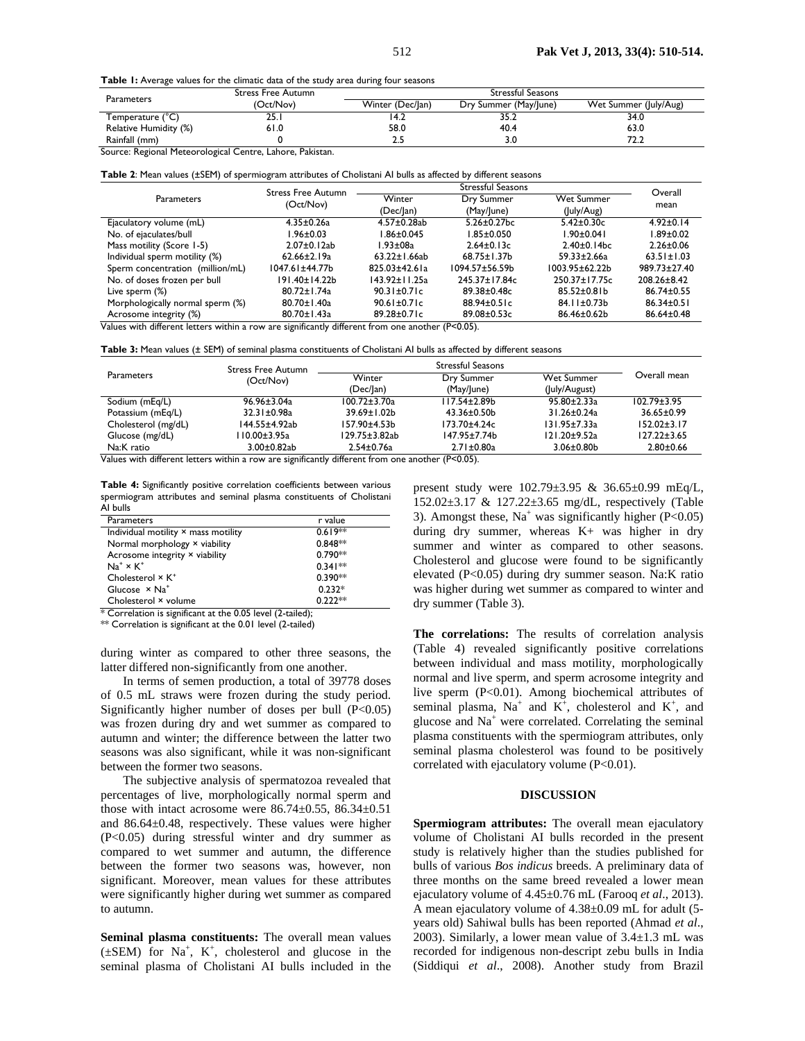Table 1: Average values for the climatic data of the study area during four seasons

| Parameters            | <b>Stress Free Autumn</b> | Stressful Seasons        |                       |                       |  |
|-----------------------|---------------------------|--------------------------|-----------------------|-----------------------|--|
|                       | (Oct/Nov)                 | Winter (Dec/Jan)         | Dry Summer (May/June) | Wet Summer (July/Aug) |  |
| Temperature (°C)      | ח ר<br>2J. I              | 14.Z                     | 35.2                  | 34.0                  |  |
| Relative Humidity (%) | 61.0                      | 58.0                     | 40.4                  | 63.0                  |  |
| Rainfall (mm)         |                           | <b><i><u>r.u</u></i></b> | 3.0                   | 72.2                  |  |

Source: Regional Meteorological Centre, Lahore, Pakistan.

|                                  | <b>Stress Free Autumn</b> | <b>Stressful Seasons</b> |                       |                      | Overall           |
|----------------------------------|---------------------------|--------------------------|-----------------------|----------------------|-------------------|
| <b>Parameters</b>                | (Oct/Nov)                 | Winter                   | Dry Summer            | <b>Wet Summer</b>    | mean              |
|                                  |                           | (Dec/Jan)                | (May/June)            | (July/Aug)           |                   |
| Ejaculatory volume (mL)          | 4.35±0.26a                | $4.57 \pm 0.28$ ab       | $5.26 \pm 0.27$ bc    | $5.42 \pm 0.30c$     | $4.92 \pm 0.14$   |
| No. of ejaculates/bull           | l.96±0.03                 | l.86±0.045               | $1.85 \pm 0.050$      | $1.90 \pm 0.041$     | l.89±0.02         |
| Mass motility (Score 1-5)        | $2.07 \pm 0.12$ ab        | l.93±08a                 | $2.64 \pm 0.13c$      | $2.40 \pm 0.14$ bc   | $2.26 \pm 0.06$   |
| Individual sperm motility (%)    | $62.66 \pm 2.19a$         | $63.22 \pm 1.66$ ab      | $68.75 \pm 1.37$ b    | $59.33 \pm 2.66a$    | $63.51 \pm 1.03$  |
| Sperm concentration (million/mL) | 1047.61±44.77b            | $825.03 \pm 42.61a$      | $1094.57 \pm 56.59 b$ | $1003.95 \pm 62.22b$ | 989.73±27.40      |
| No. of doses frozen per bull     | 191.40±14.22b             | $143.92 \pm 11.25a$      | 245.37±17.84c         | $250.37 \pm 17.75c$  | $208.26 \pm 8.42$ |
| Live sperm (%)                   | $80.72 \pm 1.74$ a        | $90.31 \pm 0.71c$        | $89.38 \pm 0.48c$     | $85.52 \pm 0.81$     | $86.74 \pm 0.55$  |
| Morphologically normal sperm (%) | 80.70±1.40a               | $90.61 \pm 0.71c$        | $88.94 \pm 0.51c$     | $84.11 \pm 0.73$ b   | $86.34 \pm 0.51$  |
| Acrosome integrity (%)           | 80.70±1.43a               | 89.28±0.71c              | 89.08±0.53c           | 86.46±0.62b          | $86.64 \pm 0.48$  |

Values with different letters within a row are significantly different from one another (P<0.05).

**Table 3:** Mean values (± SEM) of seminal plasma constituents of Cholistani AI bulls as affected by different seasons

|                     | <b>Stress Free Autumn</b><br>(Oct/Nov) | <b>Stressful Seasons</b> |                  |                    |                   |
|---------------------|----------------------------------------|--------------------------|------------------|--------------------|-------------------|
| <b>Parameters</b>   |                                        | Winter                   | Dry Summer       | Wet Summer         | Overall mean      |
|                     |                                        | (Dec/Jan)                | (May/June)       | (July/August)      |                   |
| Sodium (mEg/L)      | $96.96 \pm 3.04a$                      | $100.72 \pm 3.70a$       | l I 7.54±2.89b   | $95.80 \pm 2.33$ a | $102.79 \pm 3.95$ |
| Potassium (mEq/L)   | $32.31 \pm 0.98$ a                     | 39.69±1.02b              | $43.36 \pm 0.50$ | $31.26 \pm 0.24a$  | $36.65 \pm 0.99$  |
| Cholesterol (mg/dL) | 144.55±4.92ab                          | 157.90±4.53b             | 173.70±4.24c     | $131.95 \pm 7.33a$ | $152.02 \pm 3.17$ |
| Glucose (mg/dL)     | l 10.00±3.95a                          | 129.75±3.82ab            | 147.95±7.74b     | $121.20 \pm 9.52a$ | $127.22 \pm 3.65$ |
| Na:K ratio          | $3.00 \pm 0.82$ ab                     | $2.54 \pm 0.76a$         | $2.71 \pm 0.80a$ | $3.06 \pm 0.80$    | $2.80 + 0.66$     |

Values with different letters within a row are significantly different from one another (P<0.05).

**Table 4:** Significantly positive correlation coefficients between various spermiogram attributes and seminal plasma constituents of Cholistani AI bulls

| Parameters                                 | r value              |
|--------------------------------------------|----------------------|
| Individual motility × mass motility        | $0.619*$             |
| Normal morphology × viability              | $0.848**$            |
| Acrosome integrity × viability             | $0.790**$            |
| $Na^+ \times K^+$                          | $0.341**$            |
| Cholesterol × K <sup>+</sup>               | $0.390**$            |
| Glucose $\times$ Na <sup>+</sup>           | $0.232*$             |
| Cholesterol × volume                       | $0.222**$            |
| .<br>$\sim$<br>$\sim$ $\sim$ $\sim$ $\sim$ | $\sim$ $\sim$ $\sim$ |

 $*$  Correlation is significant at the 0.05 level (2-tailed);

\*\* Correlation is significant at the 0.01 level (2-tailed)

during winter as compared to other three seasons, the latter differed non-significantly from one another.

In terms of semen production, a total of 39778 doses of 0.5 mL straws were frozen during the study period. Significantly higher number of doses per bull (P<0.05) was frozen during dry and wet summer as compared to autumn and winter; the difference between the latter two seasons was also significant, while it was non-significant between the former two seasons.

The subjective analysis of spermatozoa revealed that percentages of live, morphologically normal sperm and those with intact acrosome were  $86.74 \pm 0.55$ ,  $86.34 \pm 0.51$ and 86.64±0.48, respectively. These values were higher (P<0.05) during stressful winter and dry summer as compared to wet summer and autumn, the difference between the former two seasons was, however, non significant. Moreover, mean values for these attributes were significantly higher during wet summer as compared to autumn.

**Seminal plasma constituents:** The overall mean values  $(\pm$ SEM) for Na<sup>+</sup>, K<sup>+</sup>, cholesterol and glucose in the seminal plasma of Cholistani AI bulls included in the

present study were 102.79±3.95 & 36.65±0.99 mEq/L, 152.02±3.17 & 127.22±3.65 mg/dL, respectively (Table 3). Amongst these,  $Na<sup>+</sup>$  was significantly higher (P<0.05) during dry summer, whereas K+ was higher in dry summer and winter as compared to other seasons. Cholesterol and glucose were found to be significantly elevated (P<0.05) during dry summer season. Na:K ratio was higher during wet summer as compared to winter and dry summer (Table 3).

**The correlations:** The results of correlation analysis (Table 4) revealed significantly positive correlations between individual and mass motility, morphologically normal and live sperm, and sperm acrosome integrity and live sperm (P<0.01). Among biochemical attributes of seminal plasma,  $Na^+$  and  $K^+$ , cholesterol and  $K^+$ , and glucose and Na<sup>+</sup> were correlated. Correlating the seminal plasma constituents with the spermiogram attributes, only seminal plasma cholesterol was found to be positively correlated with ejaculatory volume (P<0.01).

#### **DISCUSSION**

**Spermiogram attributes:** The overall mean ejaculatory volume of Cholistani AI bulls recorded in the present study is relatively higher than the studies published for bulls of various *Bos indicus* breeds. A preliminary data of three months on the same breed revealed a lower mean ejaculatory volume of 4.45±0.76 mL (Farooq *et al*., 2013). A mean ejaculatory volume of 4.38±0.09 mL for adult (5 years old) Sahiwal bulls has been reported (Ahmad *et al*., 2003). Similarly, a lower mean value of  $3.4 \pm 1.3$  mL was recorded for indigenous non-descript zebu bulls in India (Siddiqui *et al*., 2008). Another study from Brazil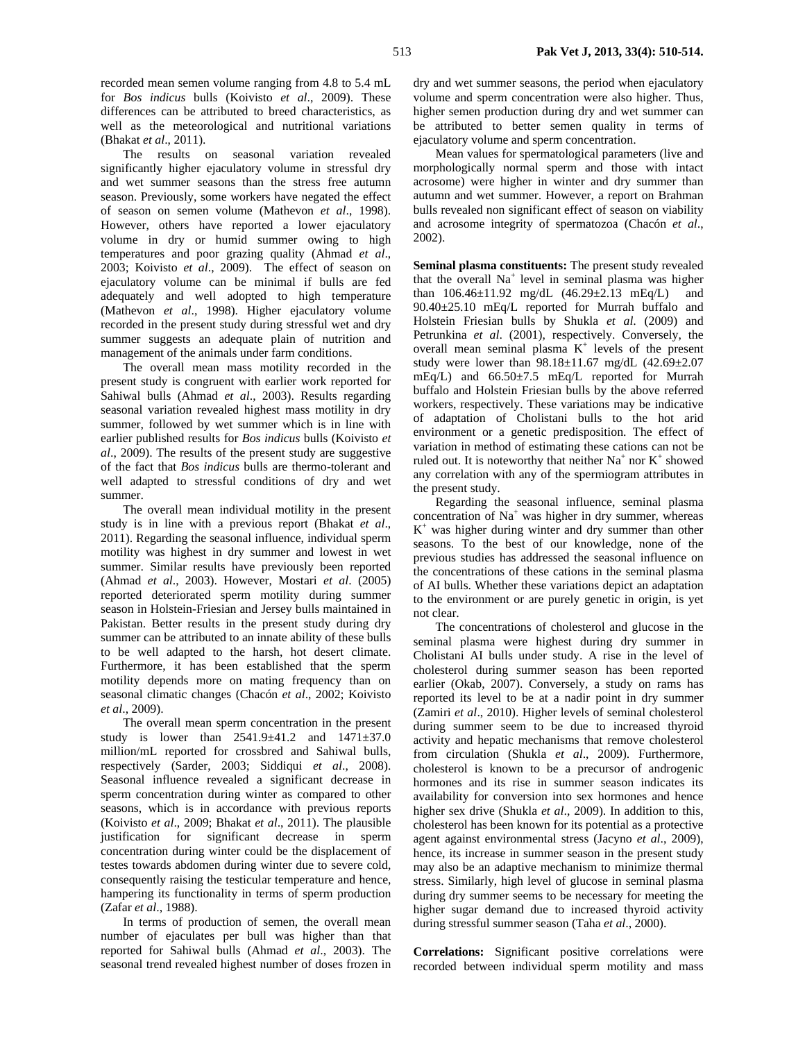recorded mean semen volume ranging from 4.8 to 5.4 mL for *Bos indicus* bulls (Koivisto *et al*., 2009). These differences can be attributed to breed characteristics, as well as the meteorological and nutritional variations (Bhakat *et al*., 2011).

The results on seasonal variation revealed significantly higher ejaculatory volume in stressful dry and wet summer seasons than the stress free autumn season. Previously, some workers have negated the effect of season on semen volume (Mathevon *et al*., 1998). However, others have reported a lower ejaculatory volume in dry or humid summer owing to high temperatures and poor grazing quality (Ahmad *et al*., 2003; Koivisto *et al*., 2009). The effect of season on ejaculatory volume can be minimal if bulls are fed adequately and well adopted to high temperature (Mathevon *et al*., 1998). Higher ejaculatory volume recorded in the present study during stressful wet and dry summer suggests an adequate plain of nutrition and management of the animals under farm conditions.

The overall mean mass motility recorded in the present study is congruent with earlier work reported for Sahiwal bulls (Ahmad *et al*., 2003). Results regarding seasonal variation revealed highest mass motility in dry summer, followed by wet summer which is in line with earlier published results for *Bos indicus* bulls (Koivisto *et al*., 2009). The results of the present study are suggestive of the fact that *Bos indicus* bulls are thermo-tolerant and well adapted to stressful conditions of dry and wet summer.

The overall mean individual motility in the present study is in line with a previous report (Bhakat *et al*., 2011). Regarding the seasonal influence, individual sperm motility was highest in dry summer and lowest in wet summer. Similar results have previously been reported (Ahmad *et al*., 2003). However, Mostari *et al*. (2005) reported deteriorated sperm motility during summer season in Holstein-Friesian and Jersey bulls maintained in Pakistan. Better results in the present study during dry summer can be attributed to an innate ability of these bulls to be well adapted to the harsh, hot desert climate. Furthermore, it has been established that the sperm motility depends more on mating frequency than on seasonal climatic changes (Chacón *et al*., 2002; Koivisto *et al*., 2009).

The overall mean sperm concentration in the present study is lower than 2541.9±41.2 and 1471±37.0 million/mL reported for crossbred and Sahiwal bulls, respectively (Sarder, 2003; Siddiqui *et al*., 2008). Seasonal influence revealed a significant decrease in sperm concentration during winter as compared to other seasons, which is in accordance with previous reports (Koivisto *et al*., 2009; Bhakat *et al*., 2011). The plausible justification for significant decrease in sperm concentration during winter could be the displacement of testes towards abdomen during winter due to severe cold, consequently raising the testicular temperature and hence, hampering its functionality in terms of sperm production (Zafar *et al*., 1988).

In terms of production of semen, the overall mean number of ejaculates per bull was higher than that reported for Sahiwal bulls (Ahmad *et al*., 2003). The seasonal trend revealed highest number of doses frozen in dry and wet summer seasons, the period when ejaculatory volume and sperm concentration were also higher. Thus, higher semen production during dry and wet summer can be attributed to better semen quality in terms of ejaculatory volume and sperm concentration.

Mean values for spermatological parameters (live and morphologically normal sperm and those with intact acrosome) were higher in winter and dry summer than autumn and wet summer. However, a report on Brahman bulls revealed non significant effect of season on viability and acrosome integrity of spermatozoa (Chacón *et al*., 2002).

**Seminal plasma constituents:** The present study revealed that the overall  $Na<sup>+</sup>$  level in seminal plasma was higher than  $106.46 \pm 11.92$  mg/dL  $(46.29 \pm 2.13 \text{ mEq/L})$  and 90.40±25.10 mEq/L reported for Murrah buffalo and Holstein Friesian bulls by Shukla *et al*. (2009) and Petrunkina *et al*. (2001), respectively. Conversely, the overall mean seminal plasma  $K^+$  levels of the present study were lower than 98.18±11.67 mg/dL (42.69±2.07 mEq/L) and 66.50±7.5 mEq/L reported for Murrah buffalo and Holstein Friesian bulls by the above referred workers, respectively. These variations may be indicative of adaptation of Cholistani bulls to the hot arid environment or a genetic predisposition. The effect of variation in method of estimating these cations can not be ruled out. It is noteworthy that neither  $Na^+$  nor  $K^+$  showed any correlation with any of the spermiogram attributes in the present study.

Regarding the seasonal influence, seminal plasma concentration of  $Na<sup>+</sup>$  was higher in dry summer, whereas K+ was higher during winter and dry summer than other seasons. To the best of our knowledge, none of the previous studies has addressed the seasonal influence on the concentrations of these cations in the seminal plasma of AI bulls. Whether these variations depict an adaptation to the environment or are purely genetic in origin, is yet not clear.

The concentrations of cholesterol and glucose in the seminal plasma were highest during dry summer in Cholistani AI bulls under study. A rise in the level of cholesterol during summer season has been reported earlier (Okab, 2007). Conversely, a study on rams has reported its level to be at a nadir point in dry summer (Zamiri *et al*., 2010). Higher levels of seminal cholesterol during summer seem to be due to increased thyroid activity and hepatic mechanisms that remove cholesterol from circulation (Shukla *et al*., 2009). Furthermore, cholesterol is known to be a precursor of androgenic hormones and its rise in summer season indicates its availability for conversion into sex hormones and hence higher sex drive (Shukla *et al*., 2009). In addition to this, cholesterol has been known for its potential as a protective agent against environmental stress (Jacyno *et al*., 2009), hence, its increase in summer season in the present study may also be an adaptive mechanism to minimize thermal stress. Similarly, high level of glucose in seminal plasma during dry summer seems to be necessary for meeting the higher sugar demand due to increased thyroid activity during stressful summer season (Taha *et al*., 2000).

**Correlations:** Significant positive correlations were recorded between individual sperm motility and mass